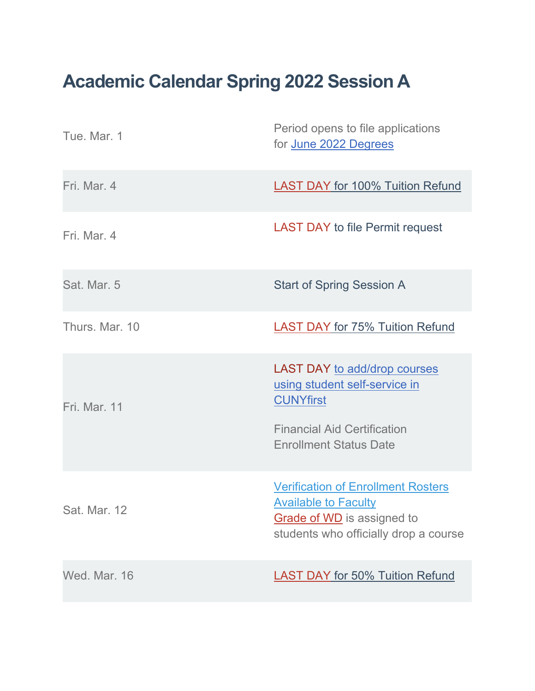## **Academic Calendar Spring 2022 Session A**

| Tue. Mar. 1    | Period opens to file applications<br>for June 2022 Degrees                                                                                                      |
|----------------|-----------------------------------------------------------------------------------------------------------------------------------------------------------------|
| Fri. Mar. 4    | <b>LAST DAY for 100% Tuition Refund</b>                                                                                                                         |
| Fri. Mar. 4    | <b>LAST DAY to file Permit request</b>                                                                                                                          |
| Sat. Mar. 5    | <b>Start of Spring Session A</b>                                                                                                                                |
| Thurs, Mar. 10 | <b>LAST DAY for 75% Tuition Refund</b>                                                                                                                          |
| Fri. Mar. 11   | <b>LAST DAY to add/drop courses</b><br>using student self-service in<br><b>CUNYfirst</b><br><b>Financial Aid Certification</b><br><b>Enrollment Status Date</b> |
| Sat. Mar. 12   | <b>Verification of Enrollment Rosters</b><br><b>Available to Faculty</b><br>Grade of WD is assigned to<br>students who officially drop a course                 |
| Wed. Mar. 16   | <b>LAST DAY for 50% Tuition Refund</b>                                                                                                                          |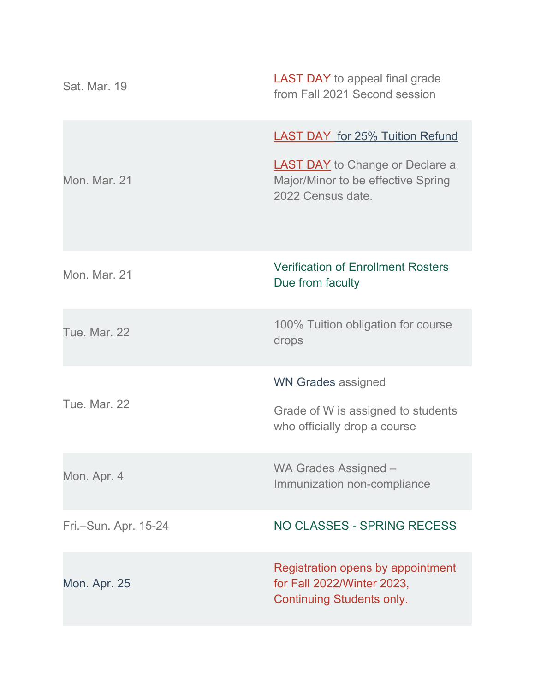| Sat. Mar. 19         | <b>LAST DAY</b> to appeal final grade<br>from Fall 2021 Second session                                                                      |
|----------------------|---------------------------------------------------------------------------------------------------------------------------------------------|
| Mon. Mar. 21         | <b>LAST DAY for 25% Tuition Refund</b><br><b>LAST DAY</b> to Change or Declare a<br>Major/Minor to be effective Spring<br>2022 Census date. |
| Mon. Mar. 21         | <b>Verification of Enrollment Rosters</b><br>Due from faculty                                                                               |
| <b>Tue. Mar. 22</b>  | 100% Tuition obligation for course<br>drops                                                                                                 |
| <b>Tue. Mar. 22</b>  | <b>WN Grades assigned</b><br>Grade of W is assigned to students<br>who officially drop a course                                             |
| Mon. Apr. 4          | WA Grades Assigned -<br>Immunization non-compliance                                                                                         |
| Fri.-Sun. Apr. 15-24 | NO CLASSES - SPRING RECESS                                                                                                                  |
| <b>Mon. Apr. 25</b>  | Registration opens by appointment<br>for Fall 2022/Winter 2023,<br><b>Continuing Students only.</b>                                         |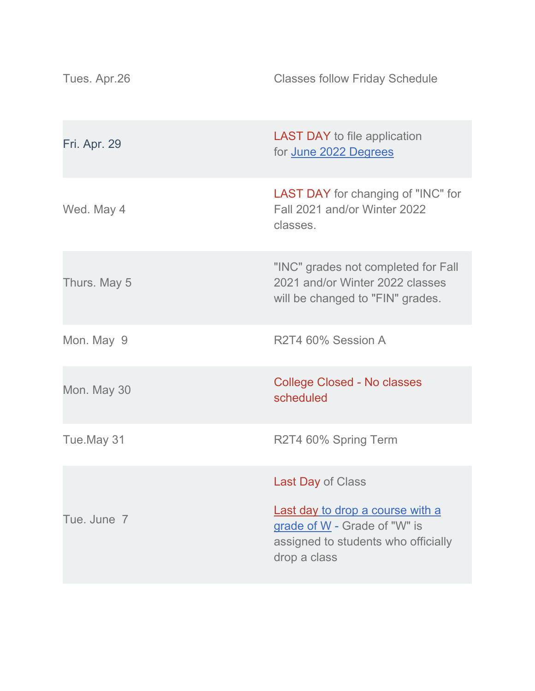| Tues. Apr.26        | <b>Classes follow Friday Schedule</b>                                                                                   |
|---------------------|-------------------------------------------------------------------------------------------------------------------------|
| <b>Fri. Apr. 29</b> | <b>LAST DAY</b> to file application<br>for June 2022 Degrees                                                            |
| Wed. May 4          | <b>LAST DAY</b> for changing of "INC" for<br>Fall 2021 and/or Winter 2022<br>classes.                                   |
| Thurs. May 5        | "INC" grades not completed for Fall<br>2021 and/or Winter 2022 classes<br>will be changed to "FIN" grades.              |
| Mon. May 9          | R2T4 60% Session A                                                                                                      |
| Mon. May 30         | <b>College Closed - No classes</b><br>scheduled                                                                         |
| Tue.May 31          | R2T4 60% Spring Term                                                                                                    |
|                     | Last Day of Class                                                                                                       |
| Tue, June 7         | Last day to drop a course with a<br>grade of W - Grade of "W" is<br>assigned to students who officially<br>drop a class |